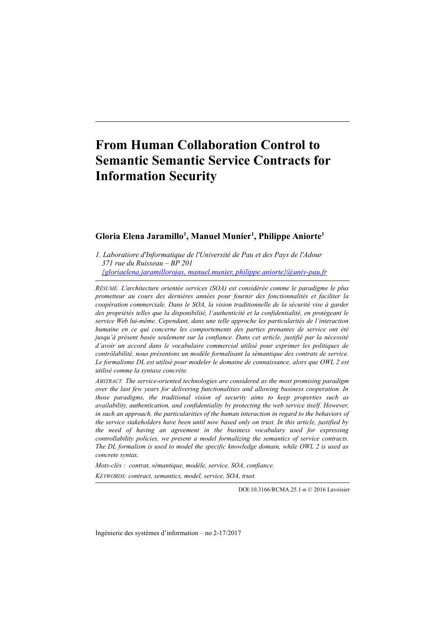# **From Human Collaboration Control to Semantic Semantic Service Contracts for Information Security**

## **Gloria Elena Jaramillo<sup>1</sup> , Manuel Munier<sup>1</sup> , Philippe Aniorte<sup>1</sup>**

*1. Laboratiore d'Informatique de l'Université de Pau et des Pays de l'Adour 371 rue du Ruisseau – BP 201 [{gloriaelena.jaramillorojas, manuel.munier, philippe.aniorte}@univ-pau.fr](mailto:gloriaelena.jaramillorojas@univ-pau.fr)*

*RÉSUMÉ. L'architecture orientée services (SOA) est considérée comme le paradigme le plus prometteur au cours des dernières années pour fournir des fonctionnalités et faciliter la coopération commerciale. Dans le SOA, la vision traditionnelle de la sécurité vise à garder des propriétés telles que la disponibilité, l'authenticité et la confidentialité, en protégeant le service Web lui-même. Cependant, dans une telle approche les particularités de l'interaction humaine en ce qui concerne les comportements des parties prenantes de service ont été jusqu'à présent basée seulement sur la confiance. Dans cet article, justifié par la nécessité d'avoir un accord dans le vocabulaire commercial utilisé pour exprimer les politiques de contrôlabilité, nous présentons un modèle formalisant la sémantique des contrats de service. Le formalisme DL est utilisé pour modeler le domaine de connaissance, alors que OWL 2 est utilisé comme la syntaxe concrète.*

*ABSTRACT. The service-oriented technologies are considered as the most promising paradigm over the last few years for delivering functionalities and allowing business cooperation. In those paradigms, the traditional vision of security aims to keep properties such as availability, authentication, and confidentiality by protecting the web service itself. However, in such an approach, the particularities of the human interaction in regard to the behaviors of the service stakeholders have been until now based only on trust. In this article, justified by the need of having an agreement in the business vocabulary used for expressing controllability policies, we present a model formalizing the semantics of service contracts. The DL formalism is used to model the specific knowledge domain, while OWL 2 is used as concrete syntax.*

*Mots-clés : contrat, sémantique, modèle, service, SOA, confiance. KEYWORDS: contract, semantics, model, service, SOA, trust.* 

DOI:10.3166/RCMA.25.1-n © 2016 Lavoisier

Ingénierie des systèmes d'information – no 2-17/2017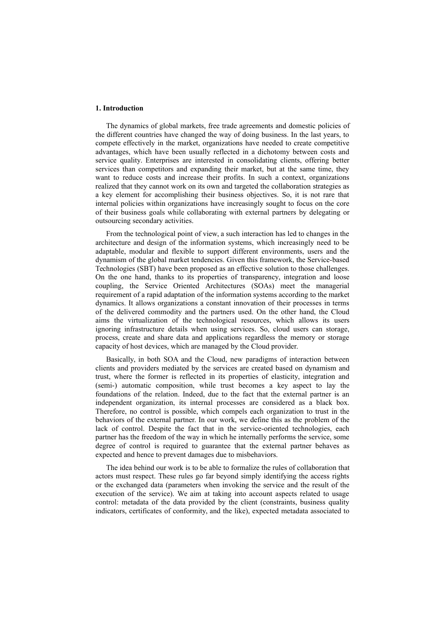#### **1. Introduction**

The dynamics of global markets, free trade agreements and domestic policies of the different countries have changed the way of doing business. In the last years, to compete effectively in the market, organizations have needed to create competitive advantages, which have been usually reflected in a dichotomy between costs and service quality. Enterprises are interested in consolidating clients, offering better services than competitors and expanding their market, but at the same time, they want to reduce costs and increase their profits. In such a context, organizations realized that they cannot work on its own and targeted the collaboration strategies as a key element for accomplishing their business objectives. So, it is not rare that internal policies within organizations have increasingly sought to focus on the core of their business goals while collaborating with external partners by delegating or outsourcing secondary activities.

From the technological point of view, a such interaction has led to changes in the architecture and design of the information systems, which increasingly need to be adaptable, modular and flexible to support different environments, users and the dynamism of the global market tendencies. Given this framework, the Service-based Technologies (SBT) have been proposed as an effective solution to those challenges. On the one hand, thanks to its properties of transparency, integration and loose coupling, the Service Oriented Architectures (SOAs) meet the managerial requirement of a rapid adaptation of the information systems according to the market dynamics. It allows organizations a constant innovation of their processes in terms of the delivered commodity and the partners used. On the other hand, the Cloud aims the virtualization of the technological resources, which allows its users ignoring infrastructure details when using services. So, cloud users can storage, process, create and share data and applications regardless the memory or storage capacity of host devices, which are managed by the Cloud provider.

Basically, in both SOA and the Cloud, new paradigms of interaction between clients and providers mediated by the services are created based on dynamism and trust, where the former is reflected in its properties of elasticity, integration and (semi-) automatic composition, while trust becomes a key aspect to lay the foundations of the relation. Indeed, due to the fact that the external partner is an independent organization, its internal processes are considered as a black box. Therefore, no control is possible, which compels each organization to trust in the behaviors of the external partner. In our work, we define this as the problem of the lack of control. Despite the fact that in the service-oriented technologies, each partner has the freedom of the way in which he internally performs the service, some degree of control is required to guarantee that the external partner behaves as expected and hence to prevent damages due to misbehaviors.

The idea behind our work is to be able to formalize the rules of collaboration that actors must respect. These rules go far beyond simply identifying the access rights or the exchanged data (parameters when invoking the service and the result of the execution of the service). We aim at taking into account aspects related to usage control: metadata of the data provided by the client (constraints, business quality indicators, certificates of conformity, and the like), expected metadata associated to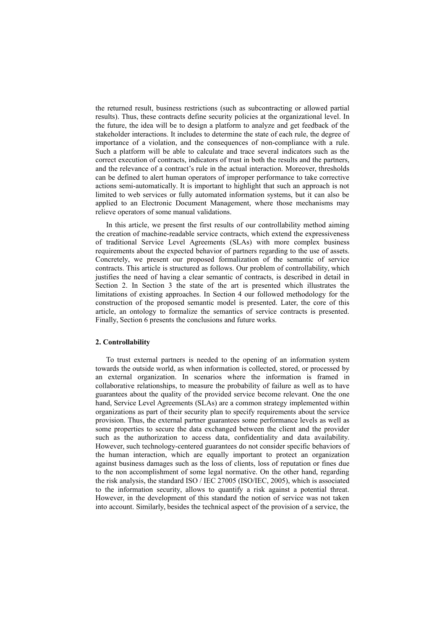the returned result, business restrictions (such as subcontracting or allowed partial results). Thus, these contracts define security policies at the organizational level. In the future, the idea will be to design a platform to analyze and get feedback of the stakeholder interactions. It includes to determine the state of each rule, the degree of importance of a violation, and the consequences of non-compliance with a rule. Such a platform will be able to calculate and trace several indicators such as the correct execution of contracts, indicators of trust in both the results and the partners, and the relevance of a contract's rule in the actual interaction. Moreover, thresholds can be defined to alert human operators of improper performance to take corrective actions semi-automatically. It is important to highlight that such an approach is not limited to web services or fully automated information systems, but it can also be applied to an Electronic Document Management, where those mechanisms may relieve operators of some manual validations.

In this article, we present the first results of our controllability method aiming the creation of machine-readable service contracts, which extend the expressiveness of traditional Service Level Agreements (SLAs) with more complex business requirements about the expected behavior of partners regarding to the use of assets. Concretely, we present our proposed formalization of the semantic of service contracts. This article is structured as follows. Our problem of controllability, which justifies the need of having a clear semantic of contracts, is described in detail in Section 2. In Section 3 the state of the art is presented which illustrates the limitations of existing approaches. In Section 4 our followed methodology for the construction of the proposed semantic model is presented. Later, the core of this article, an ontology to formalize the semantics of service contracts is presented. Finally, Section 6 presents the conclusions and future works.

#### **2. Controllability**

To trust external partners is needed to the opening of an information system towards the outside world, as when information is collected, stored, or processed by an external organization. In scenarios where the information is framed in collaborative relationships, to measure the probability of failure as well as to have guarantees about the quality of the provided service become relevant. One the one hand, Service Level Agreements (SLAs) are a common strategy implemented within organizations as part of their security plan to specify requirements about the service provision. Thus, the external partner guarantees some performance levels as well as some properties to secure the data exchanged between the client and the provider such as the authorization to access data, confidentiality and data availability. However, such technology-centered guarantees do not consider specific behaviors of the human interaction, which are equally important to protect an organization against business damages such as the loss of clients, loss of reputation or fines due to the non accomplishment of some legal normative. On the other hand, regarding the risk analysis, the standard ISO / IEC 27005 (ISO/IEC, 2005), which is associated to the information security, allows to quantify a risk against a potential threat. However, in the development of this standard the notion of service was not taken into account. Similarly, besides the technical aspect of the provision of a service, the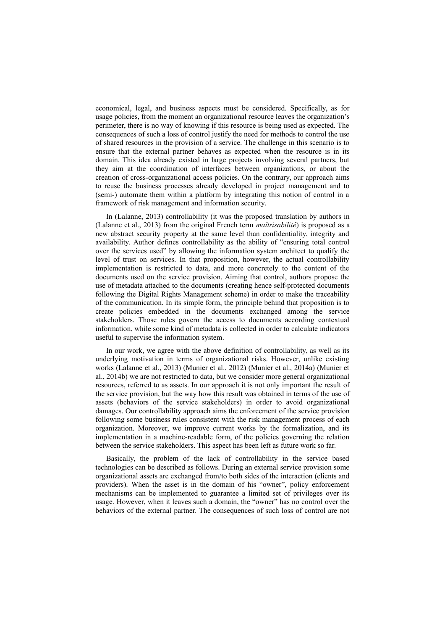economical, legal, and business aspects must be considered. Specifically, as for usage policies, from the moment an organizational resource leaves the organization's perimeter, there is no way of knowing if this resource is being used as expected. The consequences of such a loss of control justify the need for methods to control the use of shared resources in the provision of a service. The challenge in this scenario is to ensure that the external partner behaves as expected when the resource is in its domain. This idea already existed in large projects involving several partners, but they aim at the coordination of interfaces between organizations, or about the creation of cross-organizational access policies. On the contrary, our approach aims to reuse the business processes already developed in project management and to (semi-) automate them within a platform by integrating this notion of control in a framework of risk management and information security.

In (Lalanne, 2013) controllability (it was the proposed translation by authors in (Lalanne et al., 2013) from the original French term *maîtrisabilité*) is proposed as a new abstract security property at the same level than confidentiality, integrity and availability. Author defines controllability as the ability of "ensuring total control over the services used" by allowing the information system architect to qualify the level of trust on services. In that proposition, however, the actual controllability implementation is restricted to data, and more concretely to the content of the documents used on the service provision. Aiming that control, authors propose the use of metadata attached to the documents (creating hence self-protected documents following the Digital Rights Management scheme) in order to make the traceability of the communication. In its simple form, the principle behind that proposition is to create policies embedded in the documents exchanged among the service stakeholders. Those rules govern the access to documents according contextual information, while some kind of metadata is collected in order to calculate indicators useful to supervise the information system.

In our work, we agree with the above definition of controllability, as well as its underlying motivation in terms of organizational risks. However, unlike existing works (Lalanne et al., 2013) (Munier et al., 2012) (Munier et al., 2014a) (Munier et al., 2014b) we are not restricted to data, but we consider more general organizational resources, referred to as assets. In our approach it is not only important the result of the service provision, but the way how this result was obtained in terms of the use of assets (behaviors of the service stakeholders) in order to avoid organizational damages. Our controllability approach aims the enforcement of the service provision following some business rules consistent with the risk management process of each organization. Moreover, we improve current works by the formalization, and its implementation in a machine-readable form, of the policies governing the relation between the service stakeholders. This aspect has been left as future work so far.

Basically, the problem of the lack of controllability in the service based technologies can be described as follows. During an external service provision some organizational assets are exchanged from/to both sides of the interaction (clients and providers). When the asset is in the domain of his "owner", policy enforcement mechanisms can be implemented to guarantee a limited set of privileges over its usage. However, when it leaves such a domain, the "owner" has no control over the behaviors of the external partner. The consequences of such loss of control are not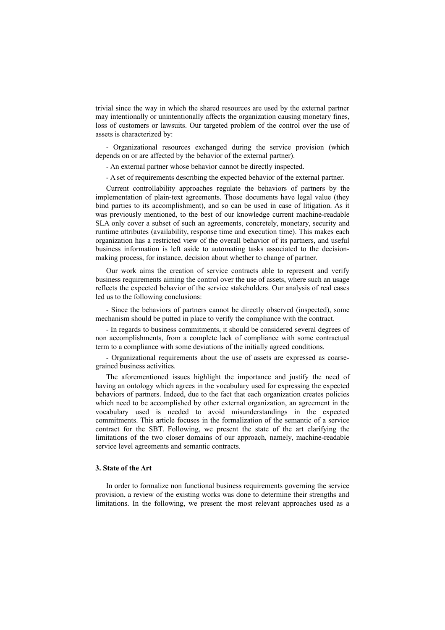trivial since the way in which the shared resources are used by the external partner may intentionally or unintentionally affects the organization causing monetary fines, loss of customers or lawsuits. Our targeted problem of the control over the use of assets is characterized by:

- Organizational resources exchanged during the service provision (which depends on or are affected by the behavior of the external partner).

- An external partner whose behavior cannot be directly inspected.

- A set of requirements describing the expected behavior of the external partner.

Current controllability approaches regulate the behaviors of partners by the implementation of plain-text agreements. Those documents have legal value (they bind parties to its accomplishment), and so can be used in case of litigation. As it was previously mentioned, to the best of our knowledge current machine-readable SLA only cover a subset of such an agreements, concretely, monetary, security and runtime attributes (availability, response time and execution time). This makes each organization has a restricted view of the overall behavior of its partners, and useful business information is left aside to automating tasks associated to the decisionmaking process, for instance, decision about whether to change of partner.

Our work aims the creation of service contracts able to represent and verify business requirements aiming the control over the use of assets, where such an usage reflects the expected behavior of the service stakeholders. Our analysis of real cases led us to the following conclusions:

- Since the behaviors of partners cannot be directly observed (inspected), some mechanism should be putted in place to verify the compliance with the contract.

- In regards to business commitments, it should be considered several degrees of non accomplishments, from a complete lack of compliance with some contractual term to a compliance with some deviations of the initially agreed conditions.

- Organizational requirements about the use of assets are expressed as coarsegrained business activities.

The aforementioned issues highlight the importance and justify the need of having an ontology which agrees in the vocabulary used for expressing the expected behaviors of partners. Indeed, due to the fact that each organization creates policies which need to be accomplished by other external organization, an agreement in the vocabulary used is needed to avoid misunderstandings in the expected commitments. This article focuses in the formalization of the semantic of a service contract for the SBT. Following, we present the state of the art clarifying the limitations of the two closer domains of our approach, namely, machine-readable service level agreements and semantic contracts.

#### **3. State of the Art**

In order to formalize non functional business requirements governing the service provision, a review of the existing works was done to determine their strengths and limitations. In the following, we present the most relevant approaches used as a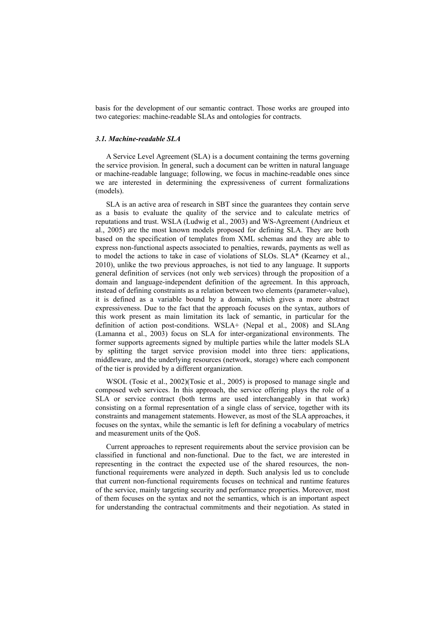basis for the development of our semantic contract. Those works are grouped into two categories: machine-readable SLAs and ontologies for contracts.

#### *3.1. Machine-readable SLA*

A Service Level Agreement (SLA) is a document containing the terms governing the service provision. In general, such a document can be written in natural language or machine-readable language; following, we focus in machine-readable ones since we are interested in determining the expressiveness of current formalizations (models).

SLA is an active area of research in SBT since the guarantees they contain serve as a basis to evaluate the quality of the service and to calculate metrics of reputations and trust. WSLA (Ludwig et al., 2003) and WS-Agreement (Andrieux et al., 2005) are the most known models proposed for defining SLA. They are both based on the specification of templates from XML schemas and they are able to express non-functional aspects associated to penalties, rewards, payments as well as to model the actions to take in case of violations of SLOs. SLA\* (Kearney et al., 2010), unlike the two previous approaches, is not tied to any language. It supports general definition of services (not only web services) through the proposition of a domain and language-independent definition of the agreement. In this approach, instead of defining constraints as a relation between two elements (parameter-value), it is defined as a variable bound by a domain, which gives a more abstract expressiveness. Due to the fact that the approach focuses on the syntax, authors of this work present as main limitation its lack of semantic, in particular for the definition of action post-conditions. WSLA+ (Nepal et al., 2008) and SLAng (Lamanna et al., 2003) focus on SLA for inter-organizational environments. The former supports agreements signed by multiple parties while the latter models SLA by splitting the target service provision model into three tiers: applications, middleware, and the underlying resources (network, storage) where each component of the tier is provided by a different organization.

WSOL (Tosic et al., 2002)(Tosic et al., 2005) is proposed to manage single and composed web services. In this approach, the service offering plays the role of a SLA or service contract (both terms are used interchangeably in that work) consisting on a formal representation of a single class of service, together with its constraints and management statements. However, as most of the SLA approaches, it focuses on the syntax, while the semantic is left for defining a vocabulary of metrics and measurement units of the QoS.

Current approaches to represent requirements about the service provision can be classified in functional and non-functional. Due to the fact, we are interested in representing in the contract the expected use of the shared resources, the nonfunctional requirements were analyzed in depth. Such analysis led us to conclude that current non-functional requirements focuses on technical and runtime features of the service, mainly targeting security and performance properties. Moreover, most of them focuses on the syntax and not the semantics, which is an important aspect for understanding the contractual commitments and their negotiation. As stated in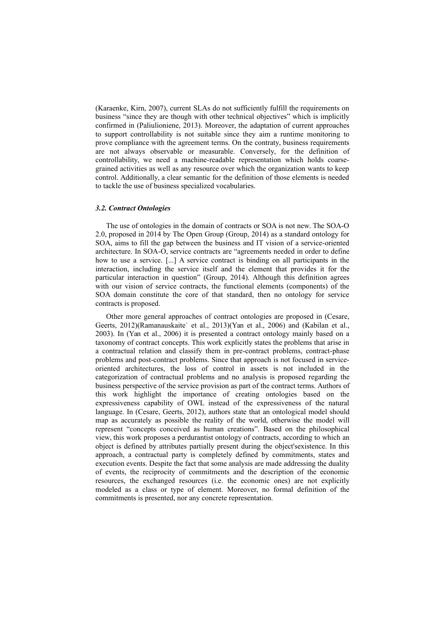(Karaenke, Kirn, 2007), current SLAs do not sufficiently fulfill the requirements on business "since they are though with other technical objectives" which is implicitly confirmed in (Paliulioniene, 2013). Moreover, the adaptation of current approaches to support controllability is not suitable since they aim a runtime monitoring to prove compliance with the agreement terms. On the contraty, business requirements are not always observable or measurable. Conversely, for the definition of controllability, we need a machine-readable representation which holds coarsegrained activities as well as any resource over which the organization wants to keep control. Additionally, a clear semantic for the definition of those elements is needed to tackle the use of business specialized vocabularies.

## *3.2. Contract Ontologies*

The use of ontologies in the domain of contracts or SOA is not new. The SOA-O 2.0, proposed in 2014 by The Open Group (Group, 2014) as a standard ontology for SOA, aims to fill the gap between the business and IT vision of a service-oriented architecture. In SOA-O, service contracts are "agreements needed in order to define how to use a service. [...] A service contract is binding on all participants in the interaction, including the service itself and the element that provides it for the particular interaction in question" (Group, 2014). Although this definition agrees with our vision of service contracts, the functional elements (components) of the SOA domain constitute the core of that standard, then no ontology for service contracts is proposed.

Other more general approaches of contract ontologies are proposed in (Cesare, Geerts, 2012)(Ramanauskaite˙ et al., 2013)(Yan et al., 2006) and (Kabilan et al., 2003). In (Yan et al., 2006) it is presented a contract ontology mainly based on a taxonomy of contract concepts. This work explicitly states the problems that arise in a contractual relation and classify them in pre-contract problems, contract-phase problems and post-contract problems. Since that approach is not focused in serviceoriented architectures, the loss of control in assets is not included in the categorization of contractual problems and no analysis is proposed regarding the business perspective of the service provision as part of the contract terms. Authors of this work highlight the importance of creating ontologies based on the expressiveness capability of OWL instead of the expressiveness of the natural language. In (Cesare, Geerts, 2012), authors state that an ontological model should map as accurately as possible the reality of the world, otherwise the model will represent "concepts conceived as human creations". Based on the philosophical view, this work proposes a perdurantist ontology of contracts, according to which an object is defined by attributes partially present during the object'sexistence. In this approach, a contractual party is completely defined by commitments, states and execution events. Despite the fact that some analysis are made addressing the duality of events, the reciprocity of commitments and the description of the economic resources, the exchanged resources (i.e. the economic ones) are not explicitly modeled as a class or type of element. Moreover, no formal definition of the commitments is presented, nor any concrete representation.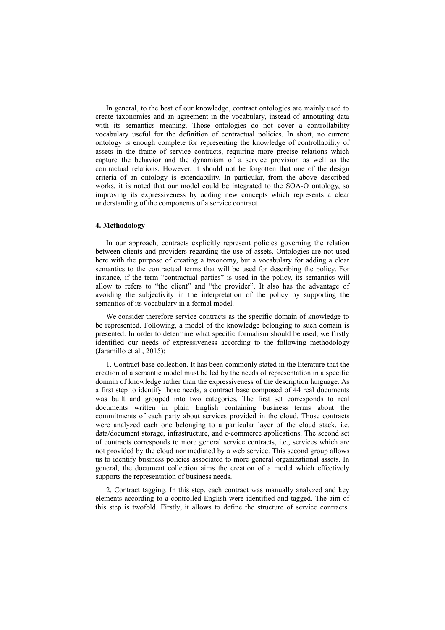In general, to the best of our knowledge, contract ontologies are mainly used to create taxonomies and an agreement in the vocabulary, instead of annotating data with its semantics meaning. Those ontologies do not cover a controllability vocabulary useful for the definition of contractual policies. In short, no current ontology is enough complete for representing the knowledge of controllability of assets in the frame of service contracts, requiring more precise relations which capture the behavior and the dynamism of a service provision as well as the contractual relations. However, it should not be forgotten that one of the design criteria of an ontology is extendability. In particular, from the above described works, it is noted that our model could be integrated to the SOA-O ontology, so improving its expressiveness by adding new concepts which represents a clear understanding of the components of a service contract.

## **4. Methodology**

In our approach, contracts explicitly represent policies governing the relation between clients and providers regarding the use of assets. Ontologies are not used here with the purpose of creating a taxonomy, but a vocabulary for adding a clear semantics to the contractual terms that will be used for describing the policy. For instance, if the term "contractual parties" is used in the policy, its semantics will allow to refers to "the client" and "the provider". It also has the advantage of avoiding the subjectivity in the interpretation of the policy by supporting the semantics of its vocabulary in a formal model.

We consider therefore service contracts as the specific domain of knowledge to be represented. Following, a model of the knowledge belonging to such domain is presented. In order to determine what specific formalism should be used, we firstly identified our needs of expressiveness according to the following methodology (Jaramillo et al., 2015):

1. Contract base collection. It has been commonly stated in the literature that the creation of a semantic model must be led by the needs of representation in a specific domain of knowledge rather than the expressiveness of the description language. As a first step to identify those needs, a contract base composed of 44 real documents was built and grouped into two categories. The first set corresponds to real documents written in plain English containing business terms about the commitments of each party about services provided in the cloud. Those contracts were analyzed each one belonging to a particular layer of the cloud stack, i.e. data/document storage, infrastructure, and e-commerce applications. The second set of contracts corresponds to more general service contracts, i.e., services which are not provided by the cloud nor mediated by a web service. This second group allows us to identify business policies associated to more general organizational assets. In general, the document collection aims the creation of a model which effectively supports the representation of business needs.

2. Contract tagging. In this step, each contract was manually analyzed and key elements according to a controlled English were identified and tagged. The aim of this step is twofold. Firstly, it allows to define the structure of service contracts.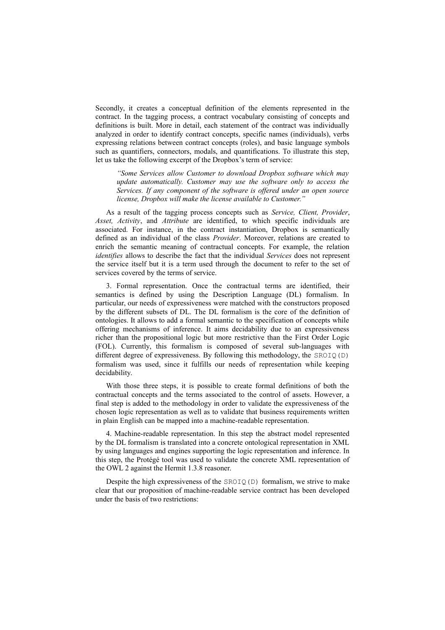Secondly, it creates a conceptual definition of the elements represented in the contract. In the tagging process, a contract vocabulary consisting of concepts and definitions is built. More in detail, each statement of the contract was individually analyzed in order to identify contract concepts, specific names (individuals), verbs expressing relations between contract concepts (roles), and basic language symbols such as quantifiers, connectors, modals, and quantifications. To illustrate this step, let us take the following excerpt of the Dropbox's term of service:

*"Some Services allow Customer to download Dropbox software which may update automatically. Customer may use the software only to access the Services. If any component of the software is offered under an open source license, Dropbox will make the license available to Customer."*

As a result of the tagging process concepts such as *Service, Client, Provider*, *Asset, Activity*, and *Attribute* are identified, to which specific individuals are associated. For instance, in the contract instantiation, Dropbox is semantically defined as an individual of the class *Provider*. Moreover, relations are created to enrich the semantic meaning of contractual concepts. For example, the relation *identifies* allows to describe the fact that the individual *Services* does not represent the service itself but it is a term used through the document to refer to the set of services covered by the terms of service.

3. Formal representation. Once the contractual terms are identified, their semantics is defined by using the Description Language (DL) formalism. In particular, our needs of expressiveness were matched with the constructors proposed by the different subsets of DL. The DL formalism is the core of the definition of ontologies. It allows to add a formal semantic to the specification of concepts while offering mechanisms of inference. It aims decidability due to an expressiveness richer than the propositional logic but more restrictive than the First Order Logic (FOL). Currently, this formalism is composed of several sub-languages with different degree of expressiveness. By following this methodology, the  $SROIQ(D)$ formalism was used, since it fulfills our needs of representation while keeping decidability.

With those three steps, it is possible to create formal definitions of both the contractual concepts and the terms associated to the control of assets. However, a final step is added to the methodology in order to validate the expressiveness of the chosen logic representation as well as to validate that business requirements written in plain English can be mapped into a machine-readable representation.

4. Machine-readable representation. In this step the abstract model represented by the DL formalism is translated into a concrete ontological representation in XML by using languages and engines supporting the logic representation and inference. In this step, the Protégé tool was used to validate the concrete XML representation of the OWL 2 against the Hermit 1.3.8 reasoner.

Despite the high expressiveness of the  $SROIQ(D)$  formalism, we strive to make clear that our proposition of machine-readable service contract has been developed under the basis of two restrictions: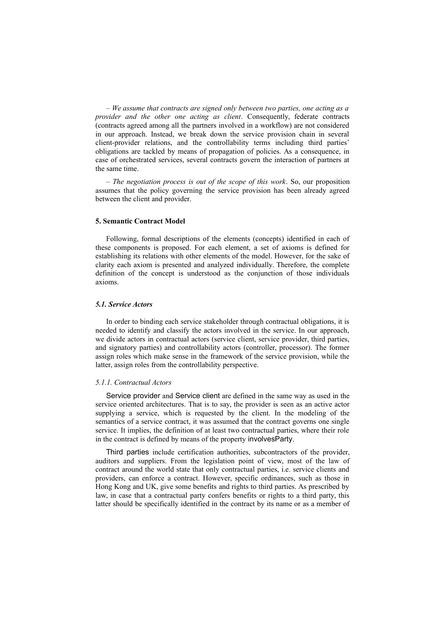– *We assume that contracts are signed only between two parties, one acting as a provider and the other one acting as client*. Consequently, federate contracts (contracts agreed among all the partners involved in a workflow) are not considered in our approach. Instead, we break down the service provision chain in several client-provider relations, and the controllability terms including third parties' obligations are tackled by means of propagation of policies. As a consequence, in case of orchestrated services, several contracts govern the interaction of partners at the same time.

– *The negotiation process is out of the scope of this work*. So, our proposition assumes that the policy governing the service provision has been already agreed between the client and provider.

### **5. Semantic Contract Model**

Following, formal descriptions of the elements (concepts) identified in each of these components is proposed. For each element, a set of axioms is defined for establishing its relations with other elements of the model. However, for the sake of clarity each axiom is presented and analyzed individually. Therefore, the complete definition of the concept is understood as the conjunction of those individuals axioms.

#### *5.1. Service Actors*

In order to binding each service stakeholder through contractual obligations, it is needed to identify and classify the actors involved in the service. In our approach, we divide actors in contractual actors (service client, service provider, third parties, and signatory parties) and controllability actors (controller, processor). The former assign roles which make sense in the framework of the service provision, while the latter, assign roles from the controllability perspective.

#### *5.1.1. Contractual Actors*

Service provider and Service client are defined in the same way as used in the service oriented architectures. That is to say, the provider is seen as an active actor supplying a service, which is requested by the client. In the modeling of the semantics of a service contract, it was assumed that the contract governs one single service. It implies, the definition of at least two contractual parties, where their role in the contract is defined by means of the property involvesParty.

Third parties include certification authorities, subcontractors of the provider, auditors and suppliers. From the legislation point of view, most of the law of contract around the world state that only contractual parties, i.e. service clients and providers, can enforce a contract. However, specific ordinances, such as those in Hong Kong and UK, give some benefits and rights to third parties. As prescribed by law, in case that a contractual party confers benefits or rights to a third party, this latter should be specifically identified in the contract by its name or as a member of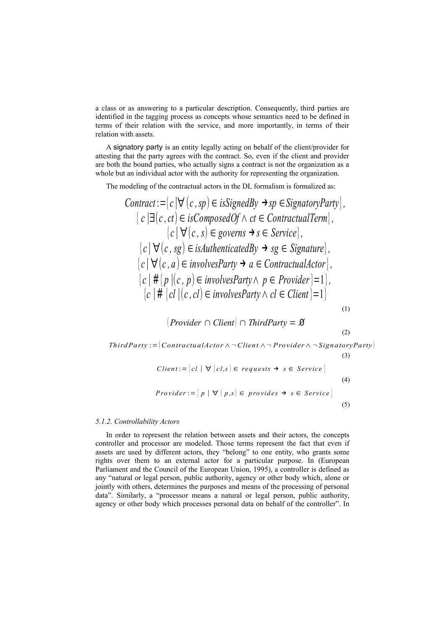a class or as answering to a particular description. Consequently, third parties are identified in the tagging process as concepts whose semantics need to be defined in terms of their relation with the service, and more importantly, in terms of their relation with assets.

A signatory party is an entity legally acting on behalf of the client/provider for attesting that the party agrees with the contract. So, even if the client and provider are both the bound parties, who actually signs a contract is not the organization as a whole but an individual actor with the authority for representing the organization.

The modeling of the contractual actors in the DL formalism is formalized as:

$$
Contract := {c | \forall (c, sp) ∈ is{\iSignedBy \rightarrow sp ∈ {\iSignatoryParty}}},
$$
\n{c | \exists (c, ct) ∈ isComposedOf ∧ ct ∈ ContractualTerm},  
\n{c | \forall (c, s) ∈ governs → s ∈ Service},  
\n{c | \forall (c, sg) ∈ isAuthenticationBy → sg ∈ {\iSignature}},  
\n{c | \forall (c, ag) ∈ isAuthenticationBy → sg ∈ {\iSignature}},  
\n{c | \forall (c, a) ∈ involvesParty → a ∈ ContractualActor},  
\n{c | \# {p | (c, p) ∈ involvesParty ∧ p ∈ Product} = 1},  
\n{c | \# {cl | (c, cl) ∈ involvesParty ∧ cl ∈ Client} = 1} (1)  
\n{Provider ∩ Client) ∩ ThirdParty = ∅ (2)  
\nThirdParty := (ContractualActor ∧ ¬Client ∧ ¬ Product ∧ ¬SignatoryParty)\n(3)

*Client* := 
$$
\begin{bmatrix} cl \mid \forall \ (cl, s) \in requests \rightarrow s \in Service \end{bmatrix}
$$
  
\n*Provider* :=  $\begin{bmatrix} p \mid \forall \ (p, s) \in provides \rightarrow s \in Service \end{bmatrix}$  (5)

#### *5.1.2. Controllability Actors*

In order to represent the relation between assets and their actors, the concepts controller and processor are modeled. Those terms represent the fact that even if assets are used by different actors, they "belong" to one entity, who grants some rights over them to an external actor for a particular purpose. In (European Parliament and the Council of the European Union, 1995), a controller is defined as any "natural or legal person, public authority, agency or other body which, alone or jointly with others, determines the purposes and means of the processing of personal data". Similarly, a "processor means a natural or legal person, public authority, agency or other body which processes personal data on behalf of the controller". In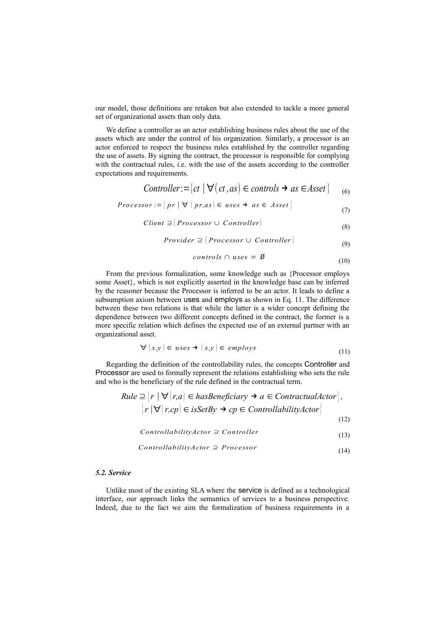our model, those definitions are retaken but also extended to tackle a more general set of organizational assets than only data.

We define a controller as an actor establishing business rules about the use of the assets which are under the control of his organization. Similarly, a processor is an actor enforced to respect the business rules established by the controller regarding the use of assets. By signing the contract, the processor is responsible for complying with the contractual rules, i.e. with the use of the assets according to the controller expectations and requirements.

$$
Controller := \{ ct \mid \forall (ct, as) \in controls \rightarrow as \in Asset \} \tag{6}
$$

$$
Processor := \left\{ pr \mid \forall \left( pr, as \right) \in uses \rightarrow as \in Asset \right\} \tag{7}
$$

$$
Client \supseteq (Processor \cup Controller) \tag{8}
$$

$$
Provider \supseteq (Processor \cup Controller)
$$
\n(9)

$$
controls \cap uses = \mathcal{B}
$$
\n(10)

From the previous formalization, some knowledge such as {Processor employs some Asset}, which is not explicitly asserted in the knowledge base can be inferred by the reasoner because the Processor is inferred to be an actor. It leads to define a subsumption axiom between uses and employs as shown in Eq. 11. The difference between these two relations is that while the latter is a wider concept defining the dependence between two different concepts defined in the contract, the former is a more specific relation which defines the expected use of an external partner with an organizational asset.

$$
\forall (x, y) \in uses \rightarrow (x, y) \in employs \tag{11}
$$

Regarding the definition of the controllability rules, the concepts Controller and Processor are used to formally represent the relations establishing who sets the rule and who is the beneficiary of the rule defined in the contractual term.

Rule 
$$
\supseteq
$$
  $|r| \forall |r,a| \in hasBeneficiency \rightarrow a \in Contractual Actor|$ ,  
\n $|r| \forall |r, cp| \in isSetBy \rightarrow cp \in Controllability Actor|$   
\n(12)

$$
ControllabilityAction \supseteq Controler
$$
\n(13)

$$
ControllabilityAction \supseteq Processor
$$
 (14)

## *5.2. Service*

Unlike most of the existing SLA where the service is defined as a technological interface, our approach links the semantics of services to a business perspective. Indeed, due to the fact we aim the formalization of business requirements in a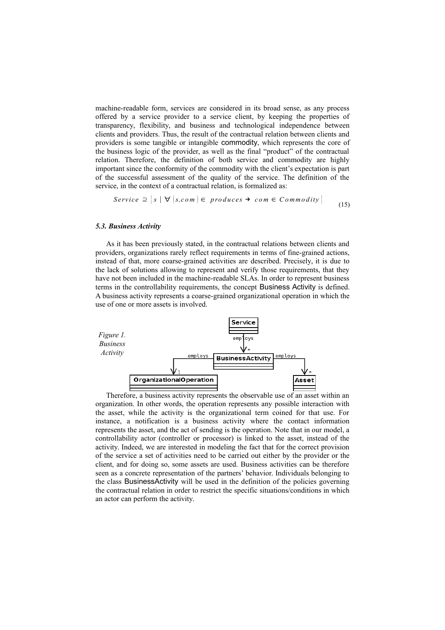machine-readable form, services are considered in its broad sense, as any process offered by a service provider to a service client, by keeping the properties of transparency, flexibility, and business and technological independence between clients and providers. Thus, the result of the contractual relation between clients and providers is some tangible or intangible commodity, which represents the core of the business logic of the provider, as well as the final "product" of the contractual relation. Therefore, the definition of both service and commodity are highly important since the conformity of the commodity with the client's expectation is part of the successful assessment of the quality of the service. The definition of the service, in the context of a contractual relation, is formalized as:

$$
Service \supseteq \{s \mid \forall \{s, com\} \in \text{produces} \rightarrow \text{com} \in \text{Commodity}\}\tag{15}
$$

#### *5.3. Business Activity*

As it has been previously stated, in the contractual relations between clients and providers, organizations rarely reflect requirements in terms of fine-grained actions, instead of that, more coarse-grained activities are described. Precisely, it is due to the lack of solutions allowing to represent and verify those requirements, that they have not been included in the machine-readable SLAs. In order to represent business terms in the controllability requirements, the concept Business Activity is defined. A business activity represents a coarse-grained organizational operation in which the use of one or more assets is involved.



Therefore, a business activity represents the observable use of an asset within an organization. In other words, the operation represents any possible interaction with the asset, while the activity is the organizational term coined for that use. For instance, a notification is a business activity where the contact information represents the asset, and the act of sending is the operation. Note that in our model, a controllability actor (controller or processor) is linked to the asset, instead of the activity. Indeed, we are interested in modeling the fact that for the correct provision of the service a set of activities need to be carried out either by the provider or the client, and for doing so, some assets are used. Business activities can be therefore seen as a concrete representation of the partners' behavior. Individuals belonging to the class BusinessActivity will be used in the definition of the policies governing the contractual relation in order to restrict the specific situations/conditions in which an actor can perform the activity.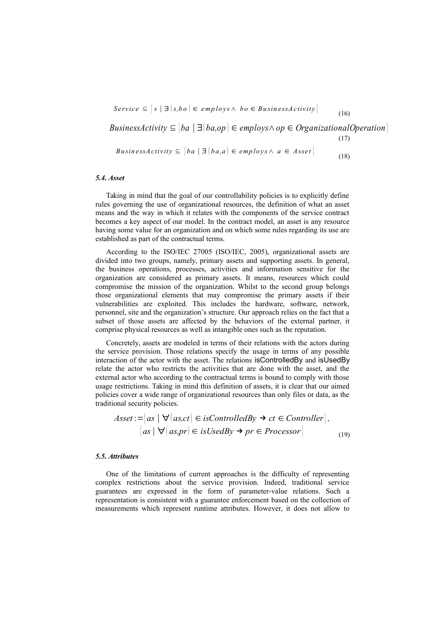$S$ *ervice*  $\subseteq$   $[s \mid \exists (s, bo) \in$  *employs*  $\land$  *bo*  $\in$  *BusinessActivity*  (16) *BusinessActivity*  $\subseteq$   $|ba| \exists |ba, op| \in \mathit{emplots} \land op \in \mathit{OrganizationalOperation}$ (17) *BusinessActivity*  $\subseteq$   $[ba \mid \exists (ba, a) \in employs \land a \in Asset]$ (18)

#### *5.4. Asset*

Taking in mind that the goal of our controllability policies is to explicitly define rules governing the use of organizational resources, the definition of what an asset means and the way in which it relates with the components of the service contract becomes a key aspect of our model. In the contract model, an asset is any resource having some value for an organization and on which some rules regarding its use are established as part of the contractual terms.

According to the ISO/IEC 27005 (ISO/IEC, 2005), organizational assets are divided into two groups, namely, primary assets and supporting assets. In general, the business operations, processes, activities and information sensitive for the organization are considered as primary assets. It means, resources which could compromise the mission of the organization. Whilst to the second group belongs those organizational elements that may compromise the primary assets if their vulnerabilities are exploited. This includes the hardware, software, network, personnel, site and the organization's structure. Our approach relies on the fact that a subset of those assets are affected by the behaviors of the external partner, it comprise physical resources as well as intangible ones such as the reputation.

Concretely, assets are modeled in terms of their relations with the actors during the service provision. Those relations specify the usage in terms of any possible interaction of the actor with the asset. The relations isControlledBy and isUsedBy relate the actor who restricts the activities that are done with the asset, and the external actor who according to the contractual terms is bound to comply with those usage restrictions. Taking in mind this definition of assets, it is clear that our aimed policies cover a wide range of organizational resources than only files or data, as the traditional security policies.

$$
\: = |as \mid \forall (as, ct) \in isControlledBy \rightarrow ct \in Controller],
$$
  

$$
|as \mid \forall (as, pr) \in isUsedBy \rightarrow pr \in Processor \mid
$$
 (19)

#### *5.5. Attributes*

One of the limitations of current approaches is the difficulty of representing complex restrictions about the service provision. Indeed, traditional service guarantees are expressed in the form of parameter-value relations. Such a representation is consistent with a guarantee enforcement based on the collection of measurements which represent runtime attributes. However, it does not allow to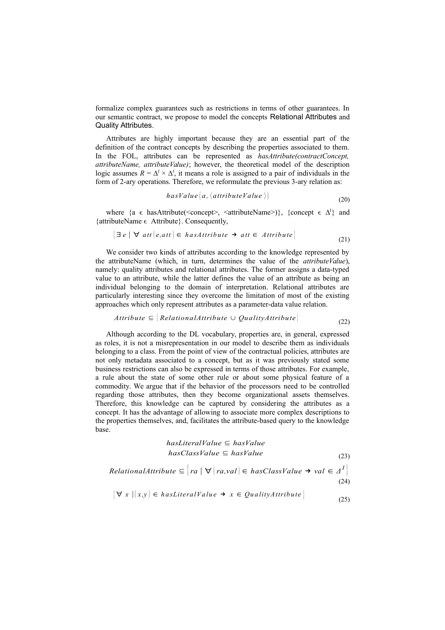formalize complex guarantees such as restrictions in terms of other guarantees. In our semantic contract, we propose to model the concepts Relational Attributes and Quality Attributes.

Attributes are highly important because they are an essential part of the definition of the contract concepts by describing the properties associated to them. In the FOL, attributes can be represented as *hasAttribute(contractConcept, attributeName, attributeValue)*; however, the theoretical model of the description logic assumes  $R = \Delta^I \times \Delta^I$ , it means a role is assigned to a pair of individuals in the form of 2-ary operations. Therefore, we reformulate the previous 3-ary relation as:

$$
has Value \big(a, \langle attribute Value \rangle \big) \tag{20}
$$

where {a  $\epsilon$  has Attribute(<concept>, <attributeName>)}, {concept  $\epsilon \Delta^I$ } and {attributeName  $\epsilon$  Attribute}. Consequently,

$$
|\exists e | \forall \text{ att } (e, att) \in \text{ has} \text{Attribute } \rightarrow \text{ att } \in \text{Attribute}\}
$$
\n
$$
(21)
$$

We consider two kinds of attributes according to the knowledge represented by the attributeName (which, in turn, determines the value of the *attributeValue*), namely: quality attributes and relational attributes. The former assigns a data-typed value to an attribute, while the latter defines the value of an attribute as being an individual belonging to the domain of interpretation. Relational attributes are particularly interesting since they overcome the limitation of most of the existing approaches which only represent attributes as a parameter-data value relation.

$$
Attribute \subseteq [RelationalAttribute \cup QualityAttribute]
$$
(22)

Although according to the DL vocabulary, properties are, in general, expressed as roles, it is not a misrepresentation in our model to describe them as individuals belonging to a class. From the point of view of the contractual policies, attributes are not only metadata associated to a concept, but as it was previously stated some business restrictions can also be expressed in terms of those attributes. For example, a rule about the state of some other rule or about some physical feature of a commodity. We argue that if the behavior of the processors need to be controlled regarding those attributes, then they become organizational assets themselves. Therefore, this knowledge can be captured by considering the attributes as a concept. It has the advantage of allowing to associate more complex descriptions to the properties themselves, and, facilitates the attribute-based query to the knowledge base.

$$
has LiteralValue \subseteq hasValue
$$
\n
$$
hasClassValue \subseteq hasValue
$$
\n(23)

$$
RelationalAttribute \subseteq \left\{ ra \mid \forall \left\{ ra, val \right\} \in \text{hasClassValue} \rightarrow \text{val} \in \Delta^I \right\}
$$
\n
$$
(24)
$$

$$
\forall x \ | (x, y) \in \textit{has Literally} \, \textit{all} \, \rightarrow \, x \in \textit{QualityAttribute} \}
$$
\n
$$
(25)
$$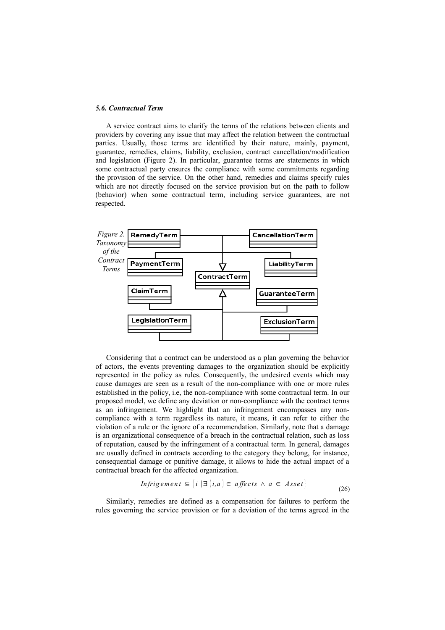#### *5.6. Contractual Term*

A service contract aims to clarify the terms of the relations between clients and providers by covering any issue that may affect the relation between the contractual parties. Usually, those terms are identified by their nature, mainly, payment, guarantee, remedies, claims, liability, exclusion, contract cancellation/modification and legislation (Figure 2). In particular, guarantee terms are statements in which some contractual party ensures the compliance with some commitments regarding the provision of the service. On the other hand, remedies and claims specify rules which are not directly focused on the service provision but on the path to follow (behavior) when some contractual term, including service guarantees, are not respected.



Considering that a contract can be understood as a plan governing the behavior of actors, the events preventing damages to the organization should be explicitly represented in the policy as rules. Consequently, the undesired events which may cause damages are seen as a result of the non-compliance with one or more rules established in the policy, i.e, the non-compliance with some contractual term. In our proposed model, we define any deviation or non-compliance with the contract terms as an infringement. We highlight that an infringement encompasses any noncompliance with a term regardless its nature, it means, it can refer to either the violation of a rule or the ignore of a recommendation. Similarly, note that a damage is an organizational consequence of a breach in the contractual relation, such as loss of reputation, caused by the infringement of a contractual term. In general, damages are usually defined in contracts according to the category they belong, for instance, consequential damage or punitive damage, it allows to hide the actual impact of a contractual breach for the affected organization.

$$
Infrigement \subseteq \{i \mid \exists \ (i,a) \in affects \land a \in Asset\}
$$
\n
$$
(26)
$$

Similarly, remedies are defined as a compensation for failures to perform the rules governing the service provision or for a deviation of the terms agreed in the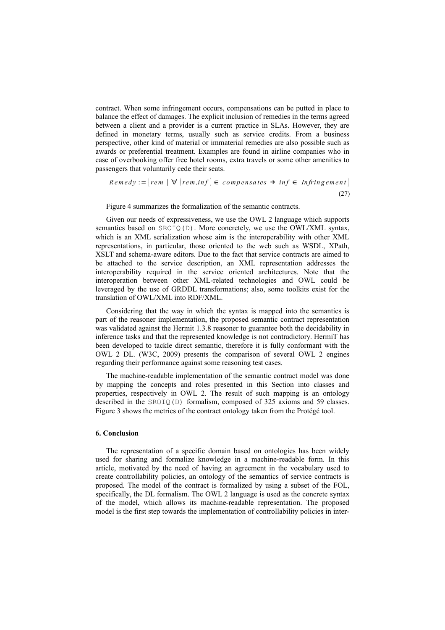contract. When some infringement occurs, compensations can be putted in place to balance the effect of damages. The explicit inclusion of remedies in the terms agreed between a client and a provider is a current practice in SLAs. However, they are defined in monetary terms, usually such as service credits. From a business perspective, other kind of material or immaterial remedies are also possible such as awards or preferential treatment. Examples are found in airline companies who in case of overbooking offer free hotel rooms, extra travels or some other amenities to passengers that voluntarily cede their seats.

$$
Remedy := [rem \mid \forall (rem, inf) \in compensates \rightarrow inf \in Infringement]
$$
\n(27)

Figure 4 summarizes the formalization of the semantic contracts.

Given our needs of expressiveness, we use the OWL 2 language which supports semantics based on SROIQ(D). More concretely, we use the OWL/XML syntax, which is an XML serialization whose aim is the interoperability with other XML representations, in particular, those oriented to the web such as WSDL, XPath, XSLT and schema-aware editors. Due to the fact that service contracts are aimed to be attached to the service description, an XML representation addresses the interoperability required in the service oriented architectures. Note that the interoperation between other XML-related technologies and OWL could be leveraged by the use of GRDDL transformations; also, some toolkits exist for the translation of OWL/XML into RDF/XML.

Considering that the way in which the syntax is mapped into the semantics is part of the reasoner implementation, the proposed semantic contract representation was validated against the Hermit 1.3.8 reasoner to guarantee both the decidability in inference tasks and that the represented knowledge is not contradictory. HermiT has been developed to tackle direct semantic, therefore it is fully conformant with the OWL 2 DL. (W3C, 2009) presents the comparison of several OWL 2 engines regarding their performance against some reasoning test cases.

The machine-readable implementation of the semantic contract model was done by mapping the concepts and roles presented in this Section into classes and properties, respectively in OWL 2. The result of such mapping is an ontology described in the SROIQ(D) formalism, composed of 325 axioms and 59 classes. Figure 3 shows the metrics of the contract ontology taken from the Protégé tool.

## **6. Conclusion**

The representation of a specific domain based on ontologies has been widely used for sharing and formalize knowledge in a machine-readable form. In this article, motivated by the need of having an agreement in the vocabulary used to create controllability policies, an ontology of the semantics of service contracts is proposed. The model of the contract is formalized by using a subset of the FOL, specifically, the DL formalism. The OWL 2 language is used as the concrete syntax of the model, which allows its machine-readable representation. The proposed model is the first step towards the implementation of controllability policies in inter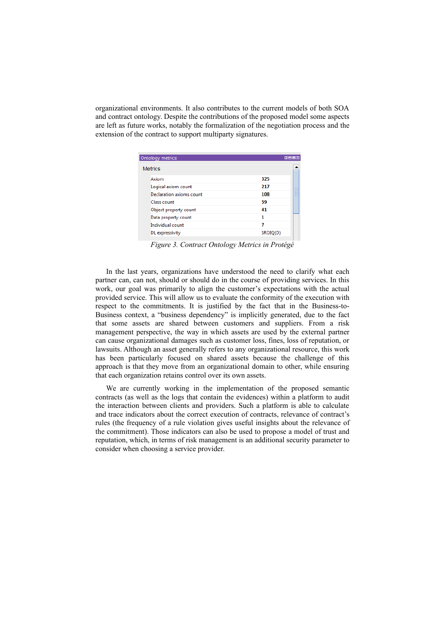organizational environments. It also contributes to the current models of both SOA and contract ontology. Despite the contributions of the proposed model some aspects are left as future works, notably the formalization of the negotiation process and the extension of the contract to support multiparty signatures.

| Ontology metrics:<br><b>0808</b> |                          |          |   |
|----------------------------------|--------------------------|----------|---|
|                                  |                          |          |   |
|                                  | <b>Metrics</b>           |          |   |
|                                  | Axiom                    | 325      |   |
|                                  | Logical axiom count      | 217      |   |
|                                  | Declaration axioms count | 108      | 滋 |
|                                  | Class count              | 59       |   |
|                                  | Object property count    | 41       |   |
|                                  | Data property count      | 1        |   |
|                                  | Individual count         | 7        |   |
|                                  | DL expressivity          | SROIO(D) |   |
|                                  |                          |          |   |

*Figure 3. Contract Ontology Metrics in Protégé*

In the last years, organizations have understood the need to clarify what each partner can, can not, should or should do in the course of providing services. In this work, our goal was primarily to align the customer's expectations with the actual provided service. This will allow us to evaluate the conformity of the execution with respect to the commitments. It is justified by the fact that in the Business-to-Business context, a "business dependency" is implicitly generated, due to the fact that some assets are shared between customers and suppliers. From a risk management perspective, the way in which assets are used by the external partner can cause organizational damages such as customer loss, fines, loss of reputation, or lawsuits. Although an asset generally refers to any organizational resource, this work has been particularly focused on shared assets because the challenge of this approach is that they move from an organizational domain to other, while ensuring that each organization retains control over its own assets.

We are currently working in the implementation of the proposed semantic contracts (as well as the logs that contain the evidences) within a platform to audit the interaction between clients and providers. Such a platform is able to calculate and trace indicators about the correct execution of contracts, relevance of contract's rules (the frequency of a rule violation gives useful insights about the relevance of the commitment). Those indicators can also be used to propose a model of trust and reputation, which, in terms of risk management is an additional security parameter to consider when choosing a service provider.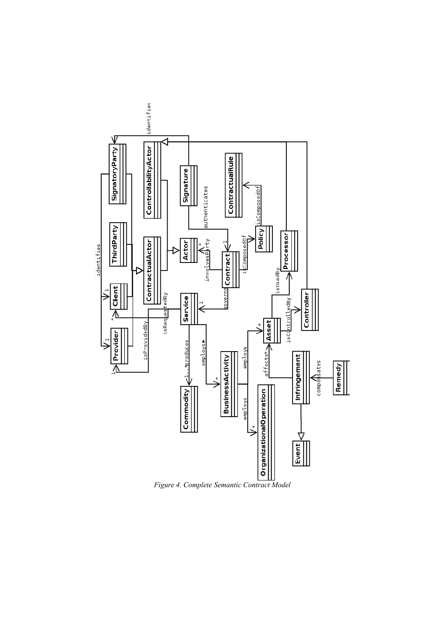

*Figure 4. Complete Semantic Contract Model*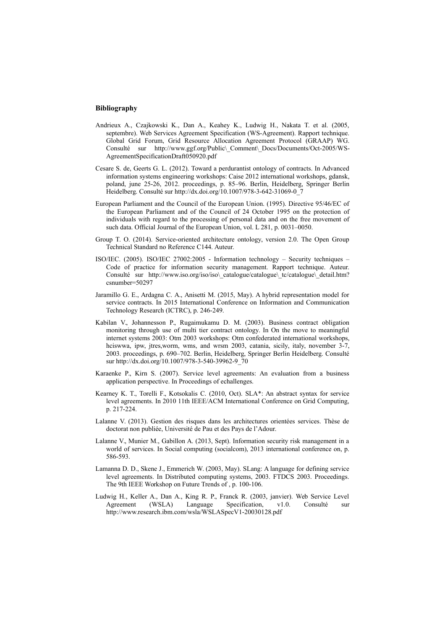#### **Bibliography**

- Andrieux A., Czajkowski K., Dan A., Keahey K., Ludwig H., Nakata T. et al. (2005, septembre). Web Services Agreement Specification (WS-Agreement). Rapport technique. Global Grid Forum, Grid Resource Allocation Agreement Protocol (GRAAP) WG. Consulté sur http://www.ggf.org/Public\\_Comment\\_Docs/Documents/Oct-2005/WS-AgreementSpecificationDraft050920.pdf
- Cesare S. de, Geerts G. L. (2012). Toward a perdurantist ontology of contracts. In Advanced information systems engineering workshops: Caise 2012 international workshops, gdansk, poland, june 25-26, 2012. proceedings, p. 85–96. Berlin, Heidelberg, Springer Berlin Heidelberg. Consulté sur http://dx.doi.org/10.1007/978-3-642-31069-0\_7
- European Parliament and the Council of the European Union. (1995). Directive 95/46/EC of the European Parliament and of the Council of 24 October 1995 on the protection of individuals with regard to the processing of personal data and on the free movement of such data. Official Journal of the European Union, vol. L 281, p. 0031–0050.
- Group T. O. (2014). Service-oriented architecture ontology, version 2.0. The Open Group Technical Standard no Reference C144. Auteur.
- ISO/IEC. (2005). ISO/IEC 27002:2005 Information technology Security techniques Code of practice for information security management. Rapport technique. Auteur. Consulté sur http://www.iso.org/iso/iso\ catalogue\catalogue\ tc/catalogue\ detail.htm? csnumber=50297
- Jaramillo G. E., Ardagna C. A., Anisetti M. (2015, May). A hybrid representation model for service contracts. In 2015 International Conference on Information and Communication Technology Research (ICTRC), p. 246-249.
- Kabilan V., Johannesson P., Rugaimukamu D. M. (2003). Business contract obligation monitoring through use of multi tier contract ontology. In On the move to meaningful internet systems 2003: Otm 2003 workshops: Otm confederated international workshops, hciswwa, ipw, jtres,worm, wms, and wrsm 2003, catania, sicily, italy, november 3-7, 2003. proceedings, p. 690–702. Berlin, Heidelberg, Springer Berlin Heidelberg. Consulté sur http://dx.doi.org/10.1007/978-3-540-39962-9\_70
- Karaenke P., Kirn S. (2007). Service level agreements: An evaluation from a business application perspective. In Proceedings of echallenges.
- Kearney K. T., Torelli F., Kotsokalis C. (2010, Oct). SLA\*: An abstract syntax for service level agreements. In 2010 11th IEEE/ACM International Conference on Grid Computing, p. 217-224.
- Lalanne V. (2013). Gestion des risques dans les architectures orientées services. Thèse de doctorat non publiée, Université de Pau et des Pays de l'Adour.
- Lalanne V., Munier M., Gabillon A. (2013, Sept). Information security risk management in a world of services. In Social computing (socialcom), 2013 international conference on, p. 586-593.
- Lamanna D. D., Skene J., Emmerich W. (2003, May). SLang: A language for defining service level agreements. In Distributed computing systems, 2003. FTDCS 2003. Proceedings. The 9th IEEE Workshop on Future Trends of , p. 100-106.
- Ludwig H., Keller A., Dan A., King R. P., Franck R. (2003, janvier). Web Service Level Agreement (WSLA) Language Specification, v1.0. Consulté sur http://www.research.ibm.com/wsla/WSLASpecV1-20030128.pdf